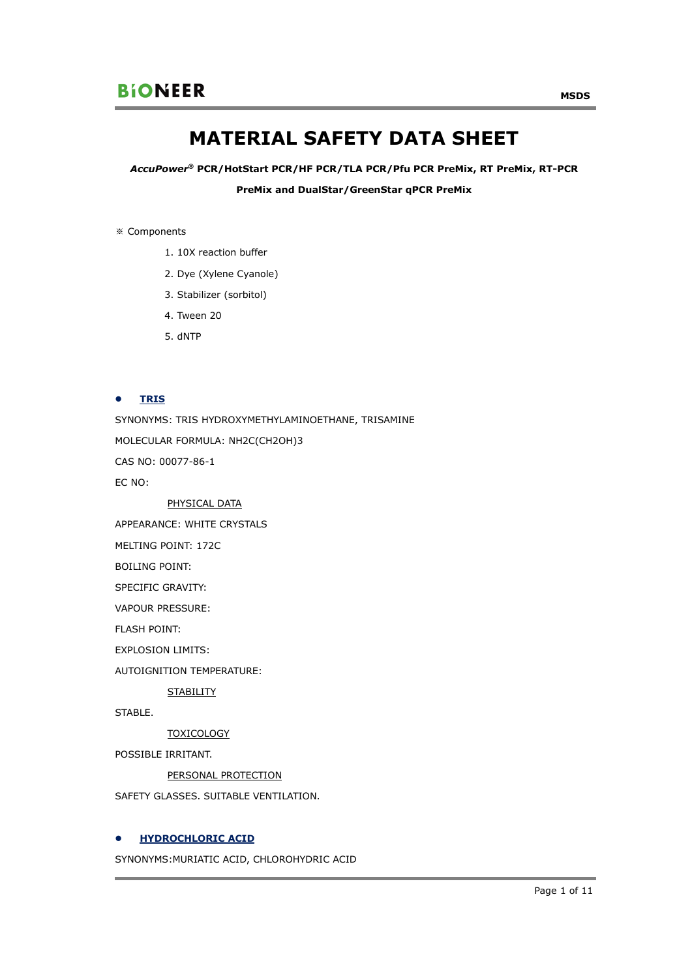# **MATERIAL SAFETY DATA SHEET**

*AccuPower***® PCR/HotStart PCR/HF PCR/TLA PCR/Pfu PCR PreMix, RT PreMix, RT-PCR** 

**PreMix and DualStar/GreenStar qPCR PreMix** 

※ Components

- 1. 10X reaction buffer
- 2. Dye (Xylene Cyanole)
- 3. Stabilizer (sorbitol)
- 4. Tween 20
- 5. dNTP

## **•** TRIS

SYNONYMS: TRIS HYDROXYMETHYLAMINOETHANE, TRISAMINE MOLECULAR FORMULA: NH2C(CH2OH)3 CAS NO: 00077-86-1 EC NO:

PHYSICAL DATA

APPEARANCE: WHITE CRYSTALS

MELTING POINT: 172C

BOILING POINT:

SPECIFIC GRAVITY:

VAPOUR PRESSURE:

FLASH POINT:

EXPLOSION LIMITS:

AUTOIGNITION TEMPERATURE:

**STABILITY** 

STABLE.

**TOXICOLOGY** 

POSSIBLE IRRITANT.

PERSONAL PROTECTION

SAFETY GLASSES. SUITABLE VENTILATION.

## **HYDROCHLORIC ACID**

SYNONYMS:MURIATIC ACID, CHLOROHYDRIC ACID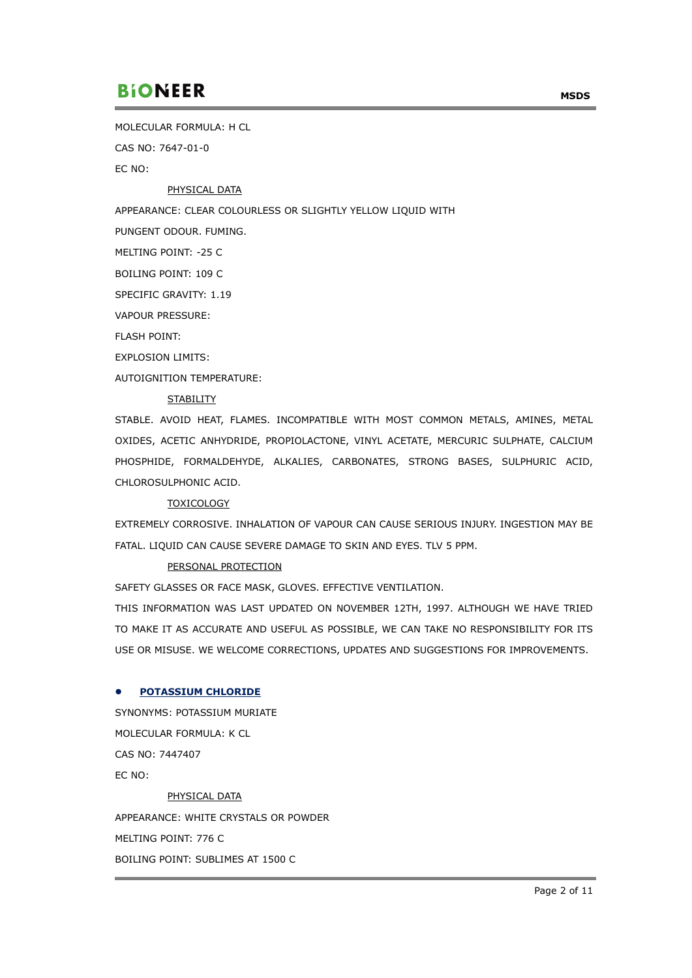MOLECULAR FORMULA: H CL

CAS NO: 7647-01-0

EC NO:

## PHYSICAL DATA

APPEARANCE: CLEAR COLOURLESS OR SLIGHTLY YELLOW LIQUID WITH

PUNGENT ODOUR. FUMING.

MELTING POINT: -25 C

BOILING POINT: 109 C

SPECIFIC GRAVITY: 1.19

VAPOUR PRESSURE:

FLASH POINT:

EXPLOSION LIMITS:

AUTOIGNITION TEMPERATURE:

## **STABILITY**

STABLE. AVOID HEAT, FLAMES. INCOMPATIBLE WITH MOST COMMON METALS, AMINES, METAL OXIDES, ACETIC ANHYDRIDE, PROPIOLACTONE, VINYL ACETATE, MERCURIC SULPHATE, CALCIUM PHOSPHIDE, FORMALDEHYDE, ALKALIES, CARBONATES, STRONG BASES, SULPHURIC ACID, CHLOROSULPHONIC ACID.

## TOXICOLOGY

EXTREMELY CORROSIVE. INHALATION OF VAPOUR CAN CAUSE SERIOUS INJURY. INGESTION MAY BE FATAL. LIQUID CAN CAUSE SEVERE DAMAGE TO SKIN AND EYES. TLV 5 PPM.

## PERSONAL PROTECTION

SAFETY GLASSES OR FACE MASK, GLOVES. EFFECTIVE VENTILATION.

THIS INFORMATION WAS LAST UPDATED ON NOVEMBER 12TH, 1997. ALTHOUGH WE HAVE TRIED TO MAKE IT AS ACCURATE AND USEFUL AS POSSIBLE, WE CAN TAKE NO RESPONSIBILITY FOR ITS USE OR MISUSE. WE WELCOME CORRECTIONS, UPDATES AND SUGGESTIONS FOR IMPROVEMENTS.

## **POTASSIUM CHLORIDE**

SYNONYMS: POTASSIUM MURIATE MOLECULAR FORMULA: K CL CAS NO: 7447407 EC NO: PHYSICAL DATA APPEARANCE: WHITE CRYSTALS OR POWDER MELTING POINT: 776 C

BOILING POINT: SUBLIMES AT 1500 C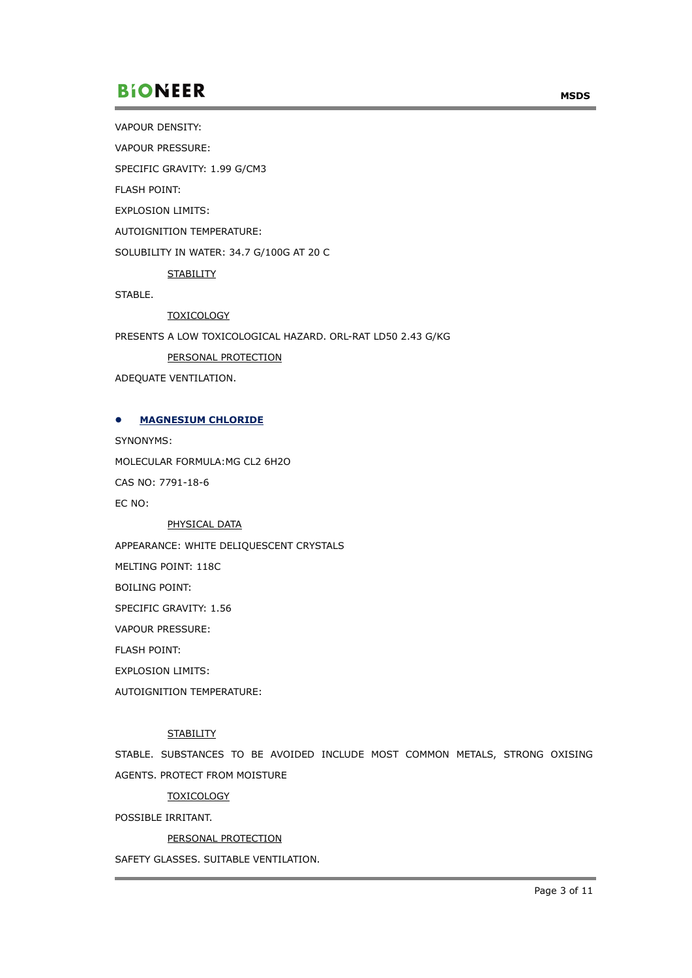VAPOUR DENSITY:

VAPOUR PRESSURE:

SPECIFIC GRAVITY: 1.99 G/CM3

FLASH POINT:

EXPLOSION LIMITS:

AUTOIGNITION TEMPERATURE:

SOLUBILITY IN WATER: 34.7 G/100G AT 20 C

**STABILITY** 

STABLE.

**TOXICOLOGY** 

PRESENTS A LOW TOXICOLOGICAL HAZARD. ORL-RAT LD50 2.43 G/KG

PERSONAL PROTECTION

ADEQUATE VENTILATION.

#### **MAGNESIUM CHLORIDE**

SYNONYMS:

MOLECULAR FORMULA:MG CL2 6H2O

CAS NO: 7791-18-6

EC NO:

#### PHYSICAL DATA

APPEARANCE: WHITE DELIQUESCENT CRYSTALS

MELTING POINT: 118C

BOILING POINT:

SPECIFIC GRAVITY: 1.56

VAPOUR PRESSURE:

FLASH POINT:

EXPLOSION LIMITS:

AUTOIGNITION TEMPERATURE:

## **STABILITY**

STABLE. SUBSTANCES TO BE AVOIDED INCLUDE MOST COMMON METALS, STRONG OXISING AGENTS. PROTECT FROM MOISTURE

**TOXICOLOGY** 

POSSIBLE IRRITANT.

### PERSONAL PROTECTION

SAFETY GLASSES. SUITABLE VENTILATION.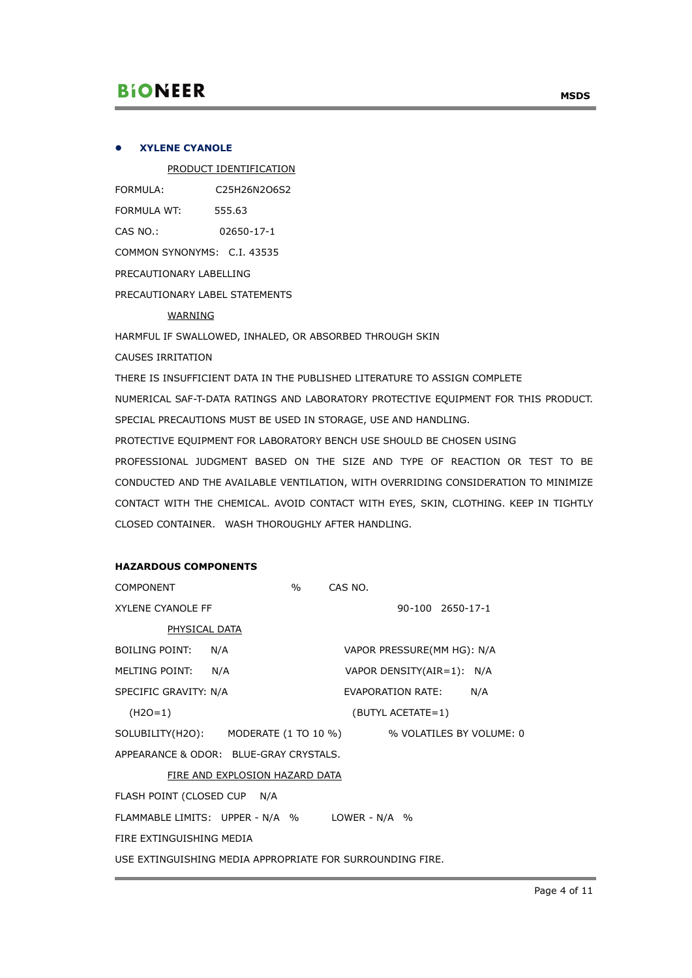## **XYLENE CYANOLE**

PRODUCT IDENTIFICATION

| FORMULA:                    | C25H26N2O6S2 |  |  |  |
|-----------------------------|--------------|--|--|--|
| FORMULA WT:                 | 555.63       |  |  |  |
| CAS NO.:                    | 02650-17-1   |  |  |  |
| COMMON SYNONYMS: C.I. 43535 |              |  |  |  |
| PRECAUTIONARY LABELLING     |              |  |  |  |
|                             |              |  |  |  |

PRECAUTIONARY LABEL STATEMENTS

## WARNING

HARMFUL IF SWALLOWED, INHALED, OR ABSORBED THROUGH SKIN

CAUSES IRRITATION

THERE IS INSUFFICIENT DATA IN THE PUBLISHED LITERATURE TO ASSIGN COMPLETE NUMERICAL SAF-T-DATA RATINGS AND LABORATORY PROTECTIVE EQUIPMENT FOR THIS PRODUCT. SPECIAL PRECAUTIONS MUST BE USED IN STORAGE, USE AND HANDLING.

PROTECTIVE EQUIPMENT FOR LABORATORY BENCH USE SHOULD BE CHOSEN USING PROFESSIONAL JUDGMENT BASED ON THE SIZE AND TYPE OF REACTION OR TEST TO BE CONDUCTED AND THE AVAILABLE VENTILATION, WITH OVERRIDING CONSIDERATION TO MINIMIZE CONTACT WITH THE CHEMICAL. AVOID CONTACT WITH EYES, SKIN, CLOTHING. KEEP IN TIGHTLY CLOSED CONTAINER. WASH THOROUGHLY AFTER HANDLING.

# **HAZARDOUS COMPONENTS**

| <b>COMPONENT</b>                                               | $\frac{0}{0}$ | CAS NO.                    |                  |  |
|----------------------------------------------------------------|---------------|----------------------------|------------------|--|
| <b>XYLENE CYANOLE FF</b>                                       |               |                            | 90-100 2650-17-1 |  |
| <b>PHYSICAL DATA</b>                                           |               |                            |                  |  |
| BOILING POINT:<br>N/A                                          |               | VAPOR PRESSURE(MM HG): N/A |                  |  |
| MELTING POINT: N/A                                             |               | VAPOR DENSITY(AIR=1): N/A  |                  |  |
| SPECIFIC GRAVITY: N/A                                          |               | EVAPORATION RATE:          | N/A              |  |
| $(H2O=1)$                                                      |               | (BUTYL ACETATE=1)          |                  |  |
| SOLUBILITY(H2O): MODERATE (1 TO 10 %) % VOLATILES BY VOLUME: 0 |               |                            |                  |  |
| APPEARANCE & ODOR: BLUE-GRAY CRYSTALS.                         |               |                            |                  |  |
| FIRE AND EXPLOSION HAZARD DATA                                 |               |                            |                  |  |
| FLASH POINT (CLOSED CUP N/A                                    |               |                            |                  |  |
| FLAMMABLE LIMITS: UPPER - N/A % LOWER - N/A %                  |               |                            |                  |  |
| FIRE EXTINGUISHING MEDIA                                       |               |                            |                  |  |
| USE EXTINGUISHING MEDIA APPROPRIATE FOR SURROUNDING FIRE.      |               |                            |                  |  |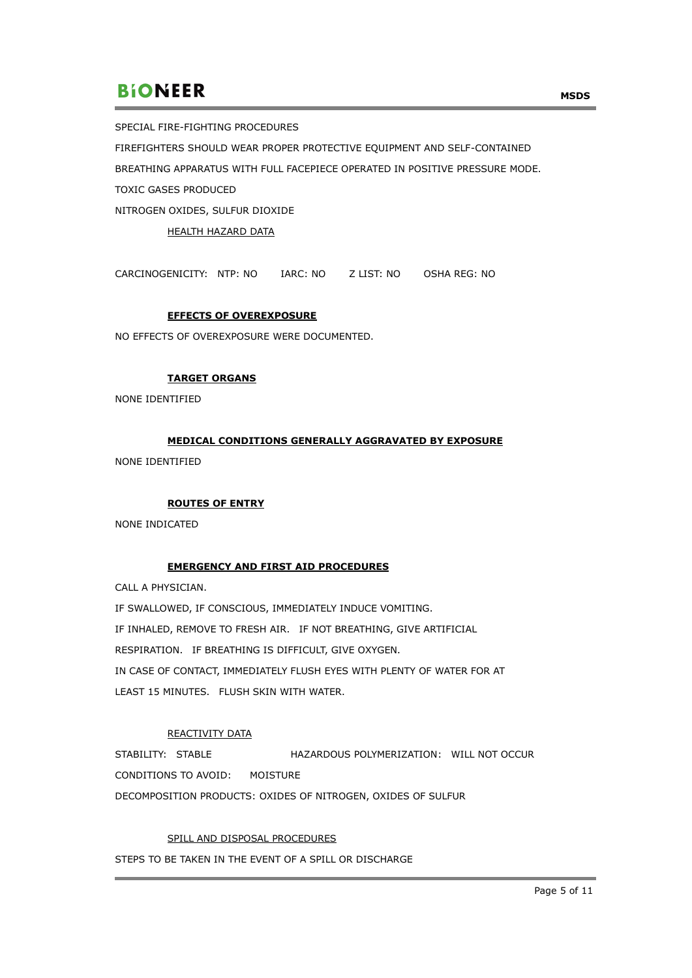SPECIAL FIRE-FIGHTING PROCEDURES FIREFIGHTERS SHOULD WEAR PROPER PROTECTIVE EQUIPMENT AND SELF-CONTAINED BREATHING APPARATUS WITH FULL FACEPIECE OPERATED IN POSITIVE PRESSURE MODE. TOXIC GASES PRODUCED NITROGEN OXIDES, SULFUR DIOXIDE

HEALTH HAZARD DATA

CARCINOGENICITY: NTP: NO IARC: NO Z LIST: NO OSHA REG: NO

#### **EFFECTS OF OVEREXPOSURE**

NO EFFECTS OF OVEREXPOSURE WERE DOCUMENTED.

## **TARGET ORGANS**

NONE IDENTIFIED

## **MEDICAL CONDITIONS GENERALLY AGGRAVATED BY EXPOSURE**

NONE IDENTIFIED

## **ROUTES OF ENTRY**

NONE INDICATED

## **EMERGENCY AND FIRST AID PROCEDURES**

CALL A PHYSICIAN.

IF SWALLOWED, IF CONSCIOUS, IMMEDIATELY INDUCE VOMITING. IF INHALED, REMOVE TO FRESH AIR. IF NOT BREATHING, GIVE ARTIFICIAL RESPIRATION. IF BREATHING IS DIFFICULT, GIVE OXYGEN. IN CASE OF CONTACT, IMMEDIATELY FLUSH EYES WITH PLENTY OF WATER FOR AT LEAST 15 MINUTES. FLUSH SKIN WITH WATER.

## REACTIVITY DATA

STABILITY: STABLE HAZARDOUS POLYMERIZATION: WILL NOT OCCUR CONDITIONS TO AVOID: MOISTURE DECOMPOSITION PRODUCTS: OXIDES OF NITROGEN, OXIDES OF SULFUR

#### SPILL AND DISPOSAL PROCEDURES

STEPS TO BE TAKEN IN THE EVENT OF A SPILL OR DISCHARGE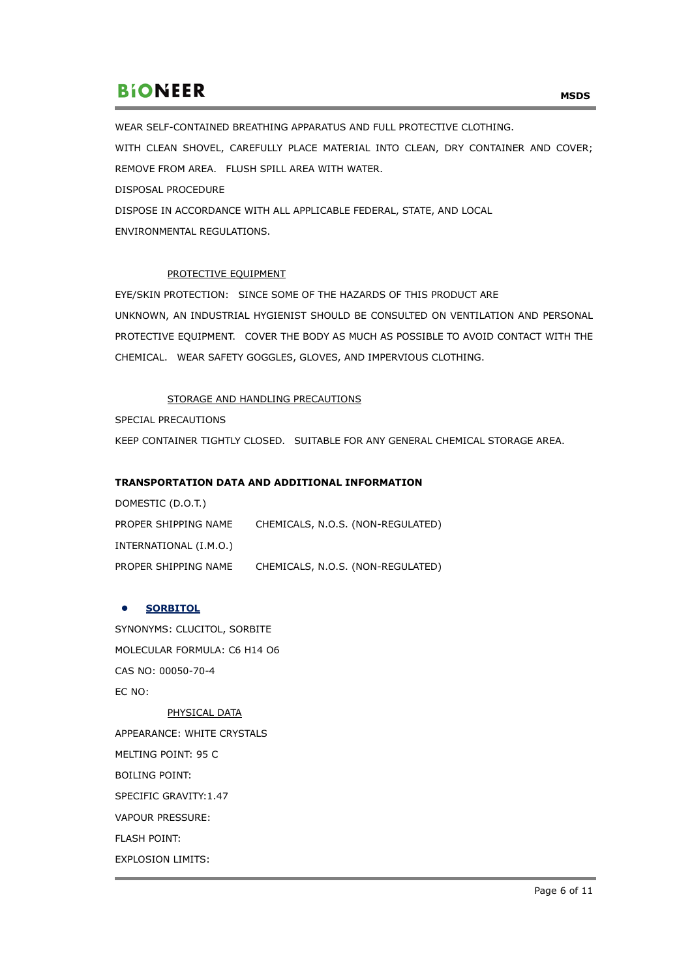WEAR SELF-CONTAINED BREATHING APPARATUS AND FULL PROTECTIVE CLOTHING. WITH CLEAN SHOVEL, CAREFULLY PLACE MATERIAL INTO CLEAN, DRY CONTAINER AND COVER; REMOVE FROM AREA. FLUSH SPILL AREA WITH WATER. DISPOSAL PROCEDURE DISPOSE IN ACCORDANCE WITH ALL APPLICABLE FEDERAL, STATE, AND LOCAL ENVIRONMENTAL REGULATIONS.

## PROTECTIVE EQUIPMENT

EYE/SKIN PROTECTION: SINCE SOME OF THE HAZARDS OF THIS PRODUCT ARE UNKNOWN, AN INDUSTRIAL HYGIENIST SHOULD BE CONSULTED ON VENTILATION AND PERSONAL PROTECTIVE EQUIPMENT. COVER THE BODY AS MUCH AS POSSIBLE TO AVOID CONTACT WITH THE CHEMICAL. WEAR SAFETY GOGGLES, GLOVES, AND IMPERVIOUS CLOTHING.

## STORAGE AND HANDLING PRECAUTIONS

SPECIAL PRECAUTIONS

KEEP CONTAINER TIGHTLY CLOSED. SUITABLE FOR ANY GENERAL CHEMICAL STORAGE AREA.

## **TRANSPORTATION DATA AND ADDITIONAL INFORMATION**

DOMESTIC (D.O.T.) PROPER SHIPPING NAME CHEMICALS, N.O.S. (NON-REGULATED) INTERNATIONAL (I.M.O.) PROPER SHIPPING NAME CHEMICALS, N.O.S. (NON-REGULATED)

## **SORBITOL**

SYNONYMS: CLUCITOL, SORBITE MOLECULAR FORMULA: C6 H14 O6 CAS NO: 00050-70-4 EC NO: PHYSICAL DATA

APPEARANCE: WHITE CRYSTALS MELTING POINT: 95 C BOILING POINT: SPECIFIC GRAVITY:1.47 VAPOUR PRESSURE: FLASH POINT: EXPLOSION LIMITS: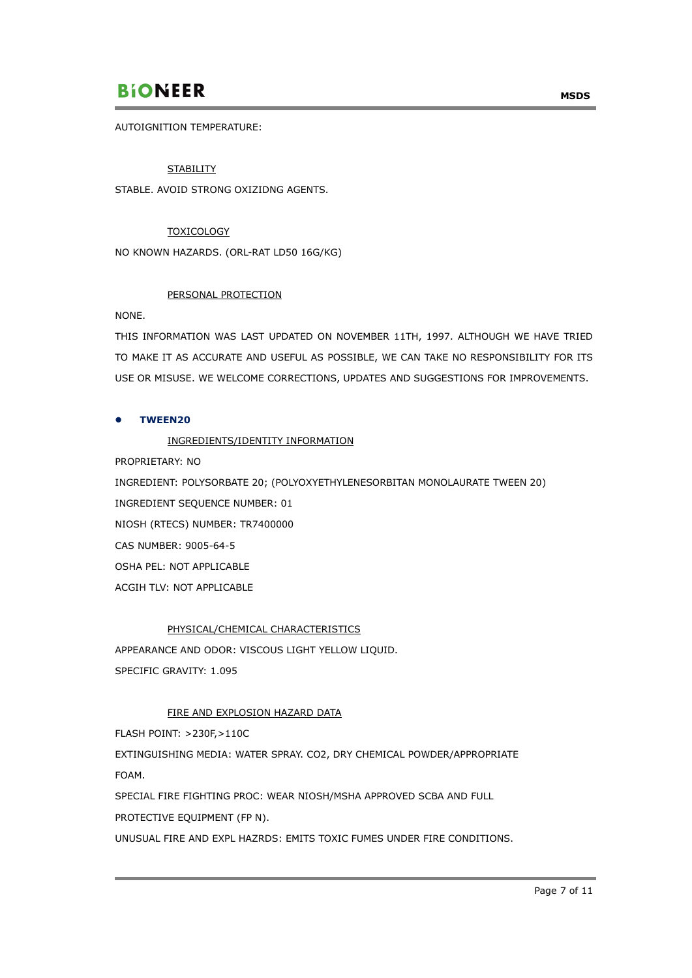AUTOIGNITION TEMPERATURE:

## **STABILITY**

STABLE. AVOID STRONG OXIZIDNG AGENTS.

## **TOXICOLOGY**

NO KNOWN HAZARDS. (ORL-RAT LD50 16G/KG)

## PERSONAL PROTECTION

NONE.

THIS INFORMATION WAS LAST UPDATED ON NOVEMBER 11TH, 1997. ALTHOUGH WE HAVE TRIED TO MAKE IT AS ACCURATE AND USEFUL AS POSSIBLE, WE CAN TAKE NO RESPONSIBILITY FOR ITS USE OR MISUSE. WE WELCOME CORRECTIONS, UPDATES AND SUGGESTIONS FOR IMPROVEMENTS.

## **TWEEN20**

## INGREDIENTS/IDENTITY INFORMATION

PROPRIETARY: NO

INGREDIENT: POLYSORBATE 20; (POLYOXYETHYLENESORBITAN MONOLAURATE TWEEN 20) INGREDIENT SEQUENCE NUMBER: 01 NIOSH (RTECS) NUMBER: TR7400000 CAS NUMBER: 9005-64-5 OSHA PEL: NOT APPLICABLE ACGIH TLV: NOT APPLICABLE

## PHYSICAL/CHEMICAL CHARACTERISTICS

APPEARANCE AND ODOR: VISCOUS LIGHT YELLOW LIQUID. SPECIFIC GRAVITY: 1.095

## FIRE AND EXPLOSION HAZARD DATA

FLASH POINT: >230F,>110C

EXTINGUISHING MEDIA: WATER SPRAY. CO2, DRY CHEMICAL POWDER/APPROPRIATE FOAM.

SPECIAL FIRE FIGHTING PROC: WEAR NIOSH/MSHA APPROVED SCBA AND FULL PROTECTIVE EQUIPMENT (FP N).

UNUSUAL FIRE AND EXPL HAZRDS: EMITS TOXIC FUMES UNDER FIRE CONDITIONS.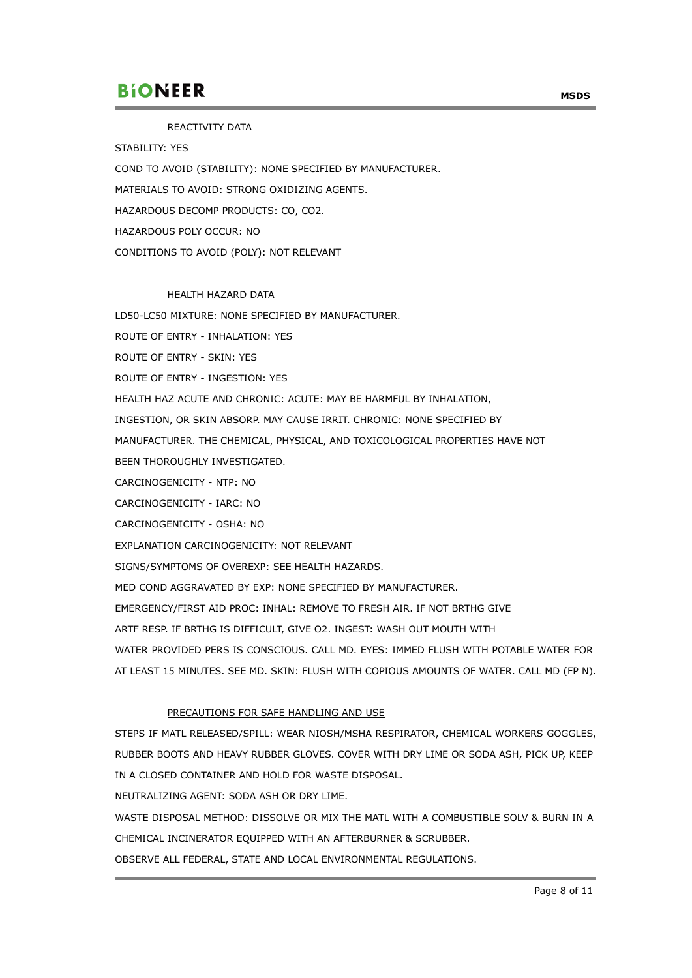### REACTIVITY DATA

STABILITY: YES

COND TO AVOID (STABILITY): NONE SPECIFIED BY MANUFACTURER.

MATERIALS TO AVOID: STRONG OXIDIZING AGENTS.

HAZARDOUS DECOMP PRODUCTS: CO, CO2.

HAZARDOUS POLY OCCUR: NO

CONDITIONS TO AVOID (POLY): NOT RELEVANT

#### HEALTH HAZARD DATA

LD50-LC50 MIXTURE: NONE SPECIFIED BY MANUFACTURER.

ROUTE OF ENTRY - INHALATION: YES

ROUTE OF ENTRY - SKIN: YES

ROUTE OF ENTRY - INGESTION: YES

HEALTH HAZ ACUTE AND CHRONIC: ACUTE: MAY BE HARMFUL BY INHALATION,

INGESTION, OR SKIN ABSORP. MAY CAUSE IRRIT. CHRONIC: NONE SPECIFIED BY

MANUFACTURER. THE CHEMICAL, PHYSICAL, AND TOXICOLOGICAL PROPERTIES HAVE NOT

BEEN THOROUGHLY INVESTIGATED.

CARCINOGENICITY - NTP: NO

CARCINOGENICITY - IARC: NO

CARCINOGENICITY - OSHA: NO

EXPLANATION CARCINOGENICITY: NOT RELEVANT

SIGNS/SYMPTOMS OF OVEREXP: SEE HEALTH HAZARDS.

MED COND AGGRAVATED BY EXP: NONE SPECIFIED BY MANUFACTURER.

EMERGENCY/FIRST AID PROC: INHAL: REMOVE TO FRESH AIR. IF NOT BRTHG GIVE

ARTF RESP. IF BRTHG IS DIFFICULT, GIVE O2. INGEST: WASH OUT MOUTH WITH

WATER PROVIDED PERS IS CONSCIOUS. CALL MD. EYES: IMMED FLUSH WITH POTABLE WATER FOR AT LEAST 15 MINUTES. SEE MD. SKIN: FLUSH WITH COPIOUS AMOUNTS OF WATER. CALL MD (FP N).

## PRECAUTIONS FOR SAFE HANDLING AND USE

STEPS IF MATL RELEASED/SPILL: WEAR NIOSH/MSHA RESPIRATOR, CHEMICAL WORKERS GOGGLES, RUBBER BOOTS AND HEAVY RUBBER GLOVES. COVER WITH DRY LIME OR SODA ASH, PICK UP, KEEP IN A CLOSED CONTAINER AND HOLD FOR WASTE DISPOSAL.

NEUTRALIZING AGENT: SODA ASH OR DRY LIME.

WASTE DISPOSAL METHOD: DISSOLVE OR MIX THE MATL WITH A COMBUSTIBLE SOLV & BURN IN A CHEMICAL INCINERATOR EQUIPPED WITH AN AFTERBURNER & SCRUBBER.

OBSERVE ALL FEDERAL, STATE AND LOCAL ENVIRONMENTAL REGULATIONS.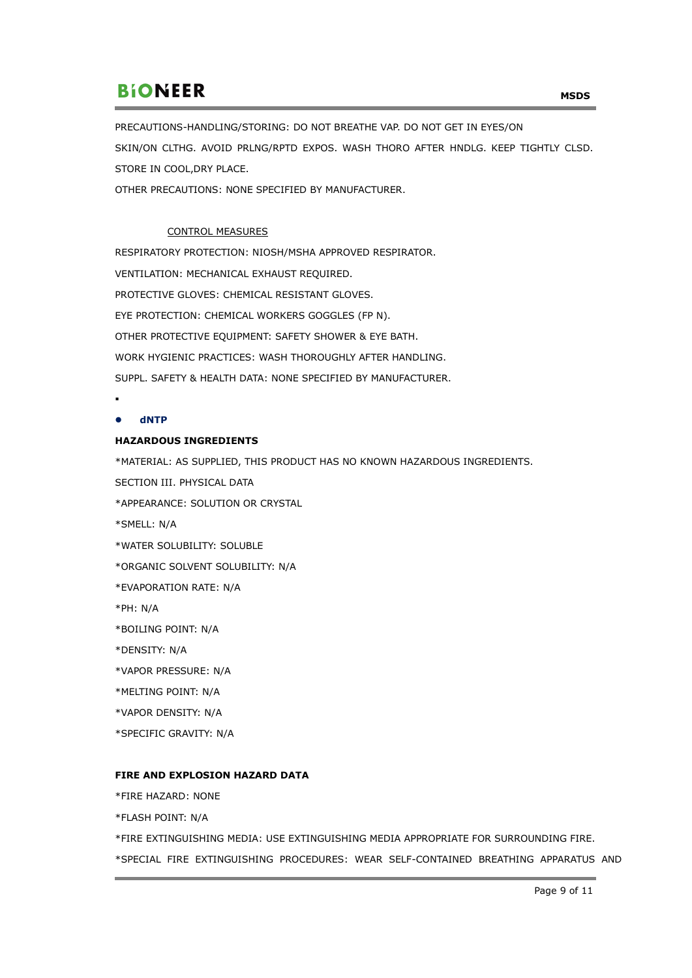PRECAUTIONS-HANDLING/STORING: DO NOT BREATHE VAP. DO NOT GET IN EYES/ON SKIN/ON CLTHG. AVOID PRLNG/RPTD EXPOS. WASH THORO AFTER HNDLG. KEEP TIGHTLY CLSD. STORE IN COOL,DRY PLACE.

OTHER PRECAUTIONS: NONE SPECIFIED BY MANUFACTURER.

## CONTROL MEASURES

RESPIRATORY PROTECTION: NIOSH/MSHA APPROVED RESPIRATOR. VENTILATION: MECHANICAL EXHAUST REQUIRED. PROTECTIVE GLOVES: CHEMICAL RESISTANT GLOVES. EYE PROTECTION: CHEMICAL WORKERS GOGGLES (FP N). OTHER PROTECTIVE EQUIPMENT: SAFETY SHOWER & EYE BATH. WORK HYGIENIC PRACTICES: WASH THOROUGHLY AFTER HANDLING. SUPPL. SAFETY & HEALTH DATA: NONE SPECIFIED BY MANUFACTURER.

.

## **dNTP**

## **HAZARDOUS INGREDIENTS**

\*MATERIAL: AS SUPPLIED, THIS PRODUCT HAS NO KNOWN HAZARDOUS INGREDIENTS. SECTION III. PHYSICAL DATA \*APPEARANCE: SOLUTION OR CRYSTAL \*SMELL: N/A \*WATER SOLUBILITY: SOLUBLE \*ORGANIC SOLVENT SOLUBILITY: N/A \*EVAPORATION RATE: N/A \*PH: N/A \*BOILING POINT: N/A \*DENSITY: N/A \*VAPOR PRESSURE: N/A \*MELTING POINT: N/A \*VAPOR DENSITY: N/A \*SPECIFIC GRAVITY: N/A

## **FIRE AND EXPLOSION HAZARD DATA**

\*FIRE HAZARD: NONE

\*FLASH POINT: N/A

\*FIRE EXTINGUISHING MEDIA: USE EXTINGUISHING MEDIA APPROPRIATE FOR SURROUNDING FIRE.

\*SPECIAL FIRE EXTINGUISHING PROCEDURES: WEAR SELF-CONTAINED BREATHING APPARATUS AND